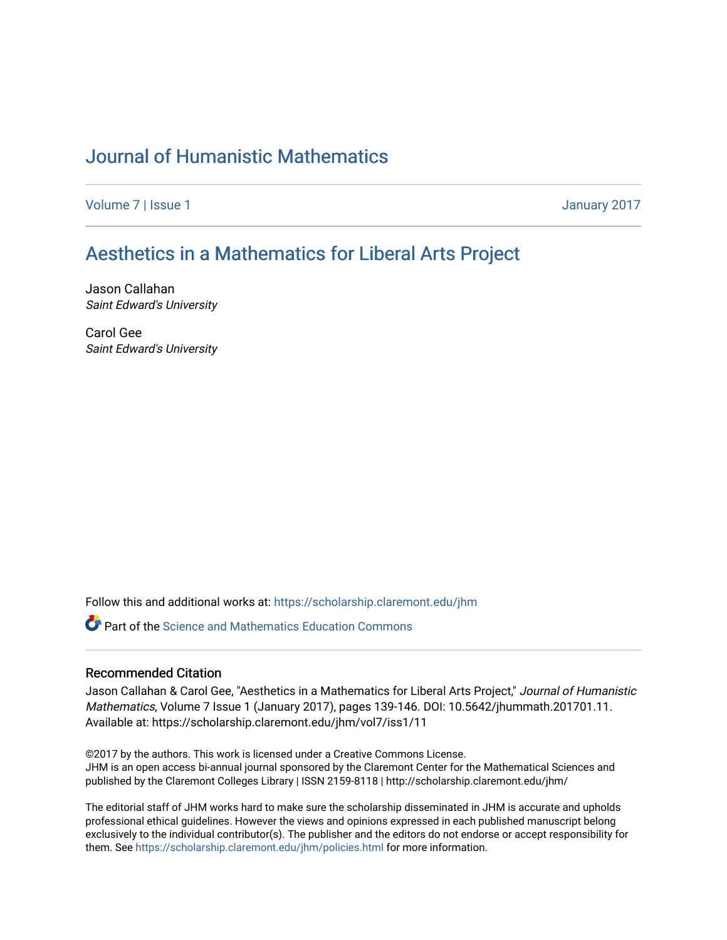# [Journal of Humanistic Mathematics](https://scholarship.claremont.edu/jhm)

[Volume 7](https://scholarship.claremont.edu/jhm/vol7) | [Issue 1](https://scholarship.claremont.edu/jhm/vol7/iss1) January 2017

# [Aesthetics in a Mathematics for Liberal Arts Project](https://scholarship.claremont.edu/jhm/vol7/iss1/11)

Jason Callahan Saint Edward's University

Carol Gee Saint Edward's University

Follow this and additional works at: [https://scholarship.claremont.edu/jhm](https://scholarship.claremont.edu/jhm?utm_source=scholarship.claremont.edu%2Fjhm%2Fvol7%2Fiss1%2F11&utm_medium=PDF&utm_campaign=PDFCoverPages)

**C** Part of the Science and Mathematics Education Commons

# Recommended Citation

Jason Callahan & Carol Gee, "Aesthetics in a Mathematics for Liberal Arts Project," Journal of Humanistic Mathematics, Volume 7 Issue 1 (January 2017), pages 139-146. DOI: 10.5642/jhummath.201701.11. Available at: https://scholarship.claremont.edu/jhm/vol7/iss1/11

©2017 by the authors. This work is licensed under a Creative Commons License. JHM is an open access bi-annual journal sponsored by the Claremont Center for the Mathematical Sciences and published by the Claremont Colleges Library | ISSN 2159-8118 | http://scholarship.claremont.edu/jhm/

The editorial staff of JHM works hard to make sure the scholarship disseminated in JHM is accurate and upholds professional ethical guidelines. However the views and opinions expressed in each published manuscript belong exclusively to the individual contributor(s). The publisher and the editors do not endorse or accept responsibility for them. See<https://scholarship.claremont.edu/jhm/policies.html> for more information.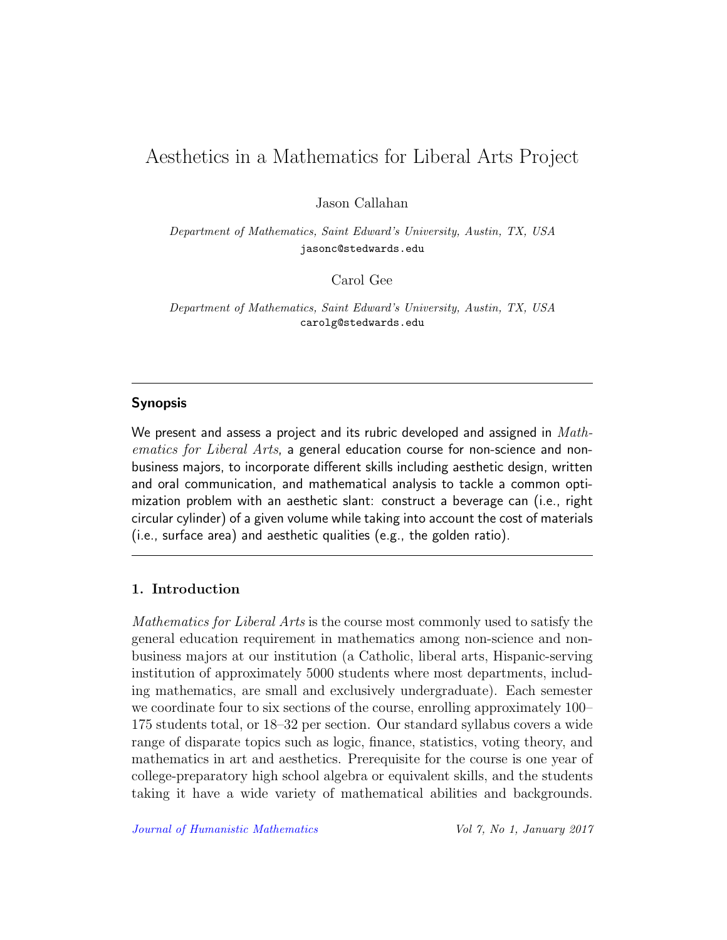# Aesthetics in a Mathematics for Liberal Arts Project

Jason Callahan

Department of Mathematics, Saint Edward's University, Austin, TX, USA jasonc@stedwards.edu

Carol Gee

Department of Mathematics, Saint Edward's University, Austin, TX, USA carolg@stedwards.edu

## Synopsis

We present and assess a project and its rubric developed and assigned in  $Math$ ematics for Liberal Arts, a general education course for non-science and nonbusiness majors, to incorporate different skills including aesthetic design, written and oral communication, and mathematical analysis to tackle a common optimization problem with an aesthetic slant: construct a beverage can (i.e., right circular cylinder) of a given volume while taking into account the cost of materials (i.e., surface area) and aesthetic qualities (e.g., the golden ratio).

# 1. Introduction

Mathematics for Liberal Arts is the course most commonly used to satisfy the general education requirement in mathematics among non-science and nonbusiness majors at our institution (a Catholic, liberal arts, Hispanic-serving institution of approximately 5000 students where most departments, including mathematics, are small and exclusively undergraduate). Each semester we coordinate four to six sections of the course, enrolling approximately 100– 175 students total, or 18–32 per section. Our standard syllabus covers a wide range of disparate topics such as logic, finance, statistics, voting theory, and mathematics in art and aesthetics. Prerequisite for the course is one year of college-preparatory high school algebra or equivalent skills, and the students taking it have a wide variety of mathematical abilities and backgrounds.

[Journal of Humanistic Mathematics](http://scholarship.claremont.edu/jhm/) Vol 7, No 1, January 2017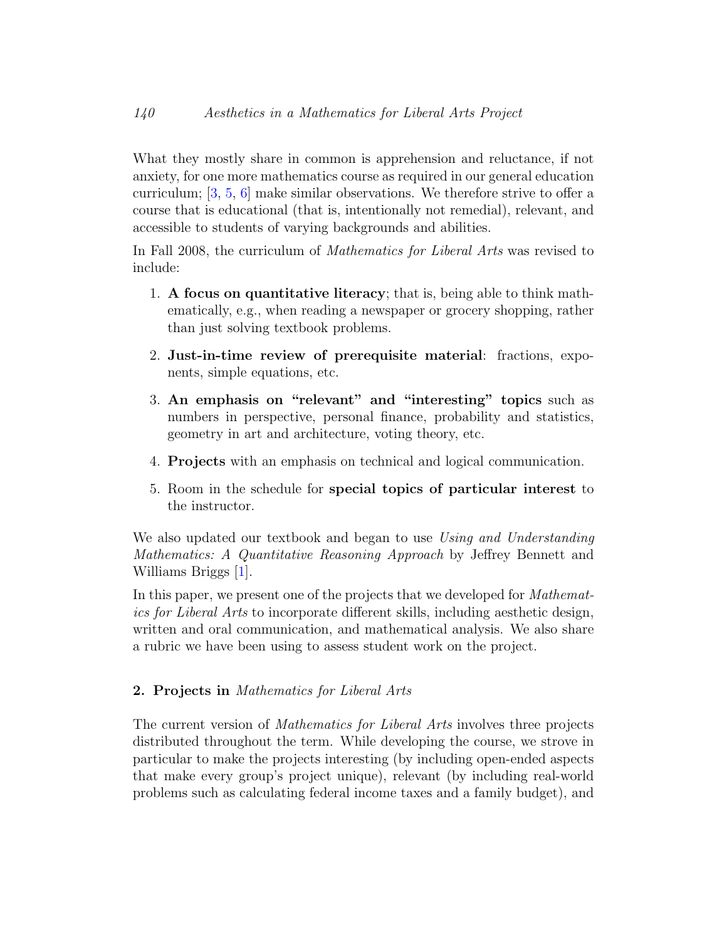What they mostly share in common is apprehension and reluctance, if not anxiety, for one more mathematics course as required in our general education curriculum; [\[3,](#page-8-0) [5,](#page-8-1) [6\]](#page-8-2) make similar observations. We therefore strive to offer a course that is educational (that is, intentionally not remedial), relevant, and accessible to students of varying backgrounds and abilities.

In Fall 2008, the curriculum of *Mathematics for Liberal Arts* was revised to include:

- 1. A focus on quantitative literacy; that is, being able to think mathematically, e.g., when reading a newspaper or grocery shopping, rather than just solving textbook problems.
- 2. Just-in-time review of prerequisite material: fractions, exponents, simple equations, etc.
- 3. An emphasis on "relevant" and "interesting" topics such as numbers in perspective, personal finance, probability and statistics, geometry in art and architecture, voting theory, etc.
- 4. Projects with an emphasis on technical and logical communication.
- 5. Room in the schedule for special topics of particular interest to the instructor.

We also updated our textbook and began to use Using and Understanding Mathematics: A Quantitative Reasoning Approach by Jeffrey Bennett and Williams Briggs [\[1\]](#page-8-3).

In this paper, we present one of the projects that we developed for *Mathemat*ics for Liberal Arts to incorporate different skills, including aesthetic design, written and oral communication, and mathematical analysis. We also share a rubric we have been using to assess student work on the project.

## 2. Projects in Mathematics for Liberal Arts

The current version of *Mathematics for Liberal Arts* involves three projects distributed throughout the term. While developing the course, we strove in particular to make the projects interesting (by including open-ended aspects that make every group's project unique), relevant (by including real-world problems such as calculating federal income taxes and a family budget), and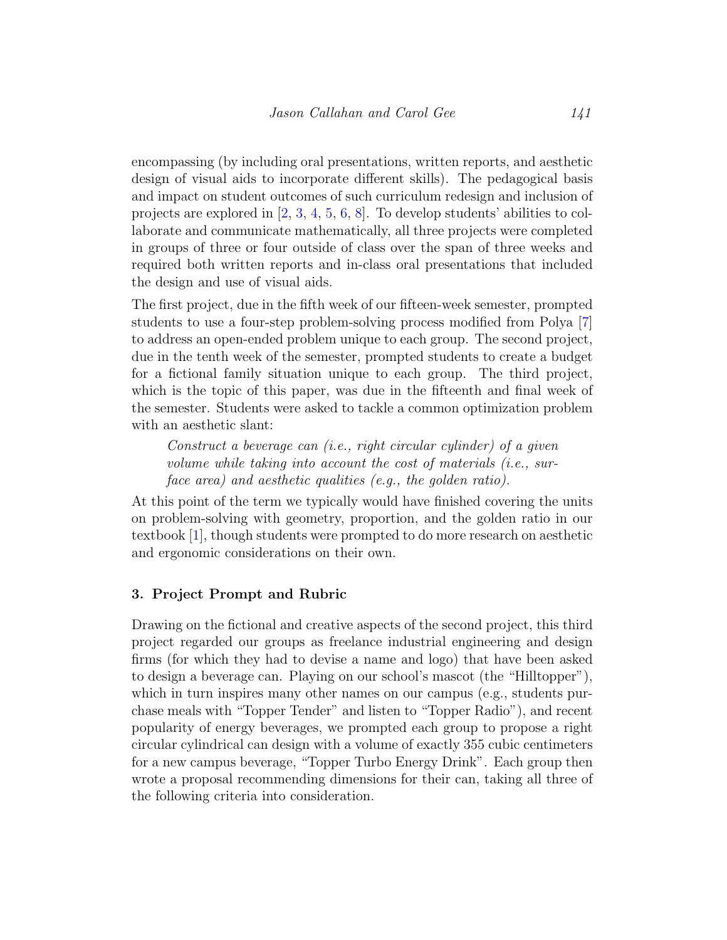encompassing (by including oral presentations, written reports, and aesthetic design of visual aids to incorporate different skills). The pedagogical basis and impact on student outcomes of such curriculum redesign and inclusion of projects are explored in [\[2,](#page-8-4) [3,](#page-8-0) [4,](#page-8-5) [5,](#page-8-1) [6,](#page-8-2) [8\]](#page-8-6). To develop students' abilities to collaborate and communicate mathematically, all three projects were completed in groups of three or four outside of class over the span of three weeks and required both written reports and in-class oral presentations that included the design and use of visual aids.

The first project, due in the fifth week of our fifteen-week semester, prompted students to use a four-step problem-solving process modified from Polya [\[7\]](#page-8-7) to address an open-ended problem unique to each group. The second project, due in the tenth week of the semester, prompted students to create a budget for a fictional family situation unique to each group. The third project, which is the topic of this paper, was due in the fifteenth and final week of the semester. Students were asked to tackle a common optimization problem with an aesthetic slant:

Construct a beverage can (i.e., right circular cylinder) of a given volume while taking into account the cost of materials (i.e., surface area) and aesthetic qualities (e.g., the golden ratio).

At this point of the term we typically would have finished covering the units on problem-solving with geometry, proportion, and the golden ratio in our textbook [\[1\]](#page-8-3), though students were prompted to do more research on aesthetic and ergonomic considerations on their own.

## 3. Project Prompt and Rubric

Drawing on the fictional and creative aspects of the second project, this third project regarded our groups as freelance industrial engineering and design firms (for which they had to devise a name and logo) that have been asked to design a beverage can. Playing on our school's mascot (the "Hilltopper"), which in turn inspires many other names on our campus (e.g., students purchase meals with "Topper Tender" and listen to "Topper Radio"), and recent popularity of energy beverages, we prompted each group to propose a right circular cylindrical can design with a volume of exactly 355 cubic centimeters for a new campus beverage, "Topper Turbo Energy Drink". Each group then wrote a proposal recommending dimensions for their can, taking all three of the following criteria into consideration.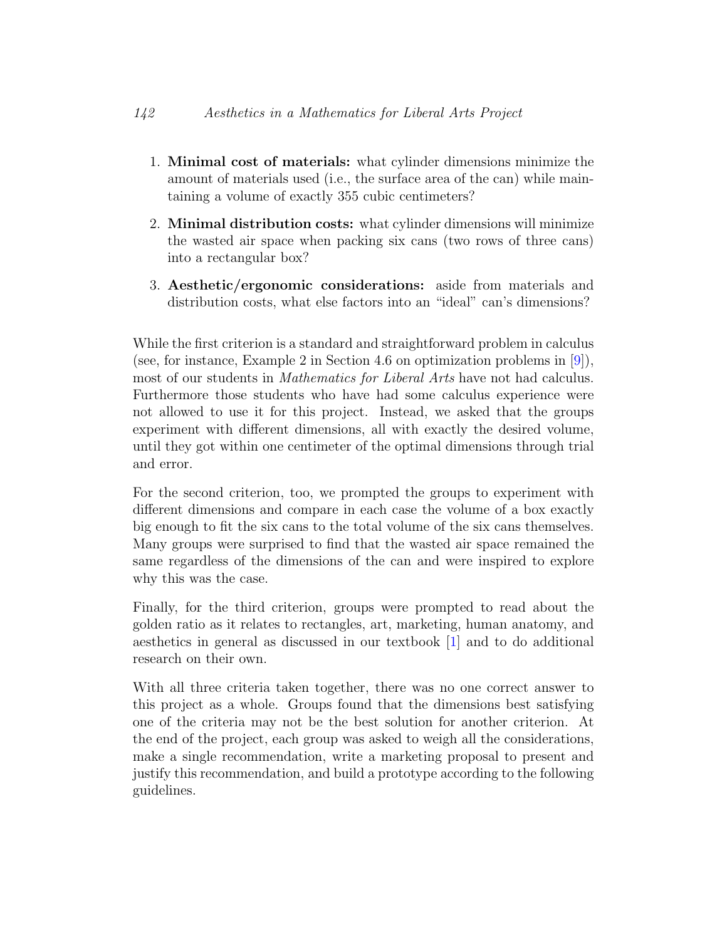- 1. Minimal cost of materials: what cylinder dimensions minimize the amount of materials used (i.e., the surface area of the can) while maintaining a volume of exactly 355 cubic centimeters?
- 2. Minimal distribution costs: what cylinder dimensions will minimize the wasted air space when packing six cans (two rows of three cans) into a rectangular box?
- 3. Aesthetic/ergonomic considerations: aside from materials and distribution costs, what else factors into an "ideal" can's dimensions?

While the first criterion is a standard and straightforward problem in calculus (see, for instance, Example 2 in Section 4.6 on optimization problems in [\[9\]](#page-8-8)), most of our students in *Mathematics for Liberal Arts* have not had calculus. Furthermore those students who have had some calculus experience were not allowed to use it for this project. Instead, we asked that the groups experiment with different dimensions, all with exactly the desired volume, until they got within one centimeter of the optimal dimensions through trial and error.

For the second criterion, too, we prompted the groups to experiment with different dimensions and compare in each case the volume of a box exactly big enough to fit the six cans to the total volume of the six cans themselves. Many groups were surprised to find that the wasted air space remained the same regardless of the dimensions of the can and were inspired to explore why this was the case.

Finally, for the third criterion, groups were prompted to read about the golden ratio as it relates to rectangles, art, marketing, human anatomy, and aesthetics in general as discussed in our textbook [\[1\]](#page-8-3) and to do additional research on their own.

With all three criteria taken together, there was no one correct answer to this project as a whole. Groups found that the dimensions best satisfying one of the criteria may not be the best solution for another criterion. At the end of the project, each group was asked to weigh all the considerations, make a single recommendation, write a marketing proposal to present and justify this recommendation, and build a prototype according to the following guidelines.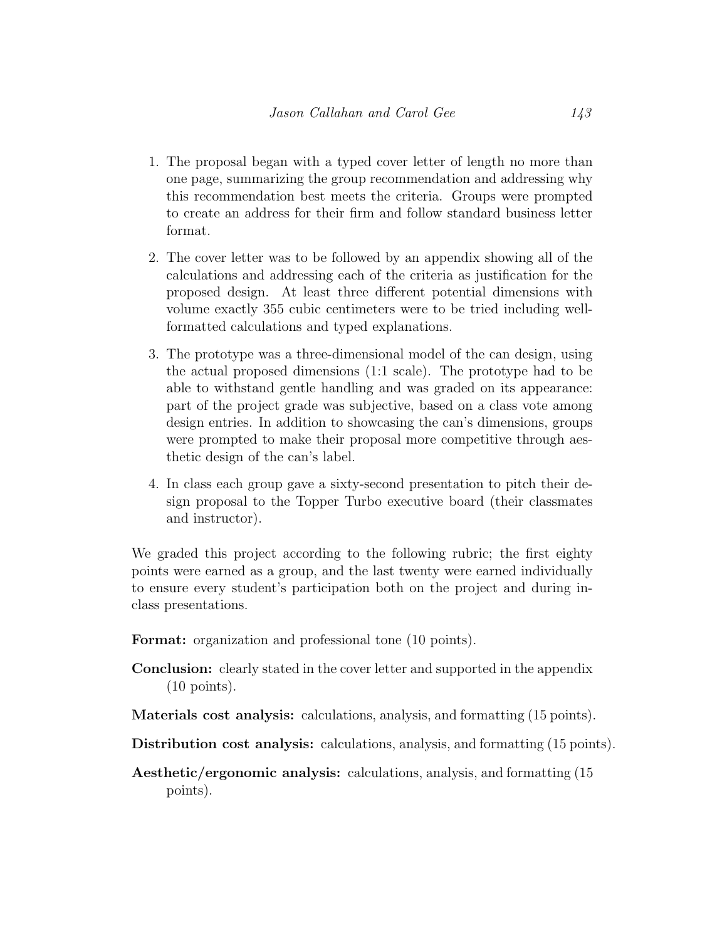- 1. The proposal began with a typed cover letter of length no more than one page, summarizing the group recommendation and addressing why this recommendation best meets the criteria. Groups were prompted to create an address for their firm and follow standard business letter format.
- 2. The cover letter was to be followed by an appendix showing all of the calculations and addressing each of the criteria as justification for the proposed design. At least three different potential dimensions with volume exactly 355 cubic centimeters were to be tried including wellformatted calculations and typed explanations.
- 3. The prototype was a three-dimensional model of the can design, using the actual proposed dimensions (1:1 scale). The prototype had to be able to withstand gentle handling and was graded on its appearance: part of the project grade was subjective, based on a class vote among design entries. In addition to showcasing the can's dimensions, groups were prompted to make their proposal more competitive through aesthetic design of the can's label.
- 4. In class each group gave a sixty-second presentation to pitch their design proposal to the Topper Turbo executive board (their classmates and instructor).

We graded this project according to the following rubric; the first eighty points were earned as a group, and the last twenty were earned individually to ensure every student's participation both on the project and during inclass presentations.

Format: organization and professional tone (10 points).

- Conclusion: clearly stated in the cover letter and supported in the appendix (10 points).
- Materials cost analysis: calculations, analysis, and formatting (15 points).
- Distribution cost analysis: calculations, analysis, and formatting (15 points).
- Aesthetic/ergonomic analysis: calculations, analysis, and formatting (15 points).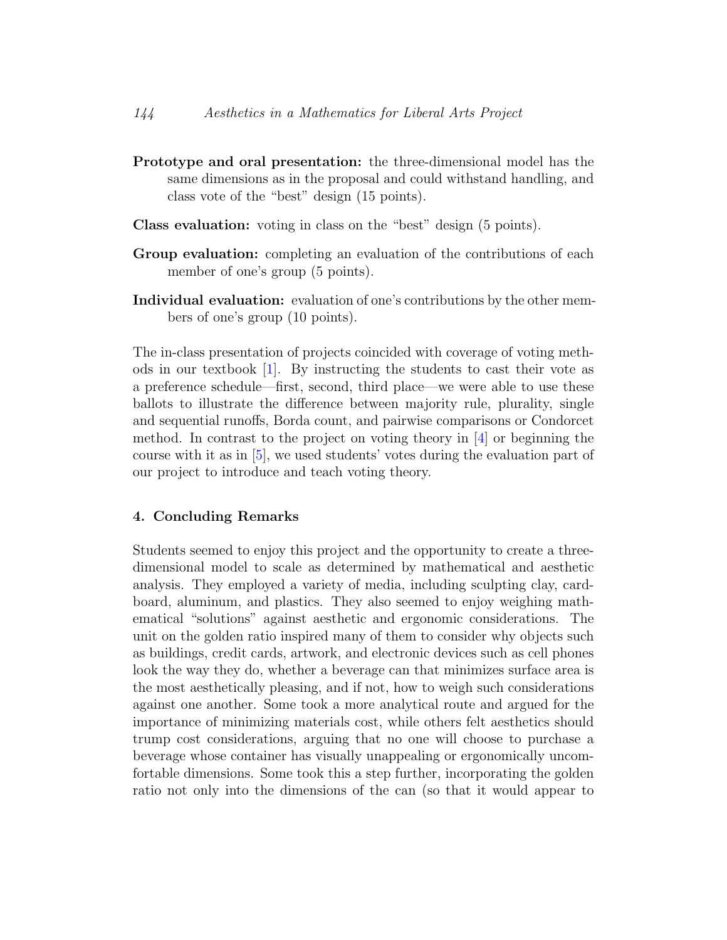- Prototype and oral presentation: the three-dimensional model has the same dimensions as in the proposal and could withstand handling, and class vote of the "best" design (15 points).
- Class evaluation: voting in class on the "best" design (5 points).
- Group evaluation: completing an evaluation of the contributions of each member of one's group (5 points).
- Individual evaluation: evaluation of one's contributions by the other members of one's group (10 points).

The in-class presentation of projects coincided with coverage of voting methods in our textbook [\[1\]](#page-8-3). By instructing the students to cast their vote as a preference schedule—first, second, third place—we were able to use these ballots to illustrate the difference between majority rule, plurality, single and sequential runoffs, Borda count, and pairwise comparisons or Condorcet method. In contrast to the project on voting theory in  $[4]$  or beginning the course with it as in [\[5\]](#page-8-1), we used students' votes during the evaluation part of our project to introduce and teach voting theory.

## 4. Concluding Remarks

Students seemed to enjoy this project and the opportunity to create a threedimensional model to scale as determined by mathematical and aesthetic analysis. They employed a variety of media, including sculpting clay, cardboard, aluminum, and plastics. They also seemed to enjoy weighing mathematical "solutions" against aesthetic and ergonomic considerations. The unit on the golden ratio inspired many of them to consider why objects such as buildings, credit cards, artwork, and electronic devices such as cell phones look the way they do, whether a beverage can that minimizes surface area is the most aesthetically pleasing, and if not, how to weigh such considerations against one another. Some took a more analytical route and argued for the importance of minimizing materials cost, while others felt aesthetics should trump cost considerations, arguing that no one will choose to purchase a beverage whose container has visually unappealing or ergonomically uncomfortable dimensions. Some took this a step further, incorporating the golden ratio not only into the dimensions of the can (so that it would appear to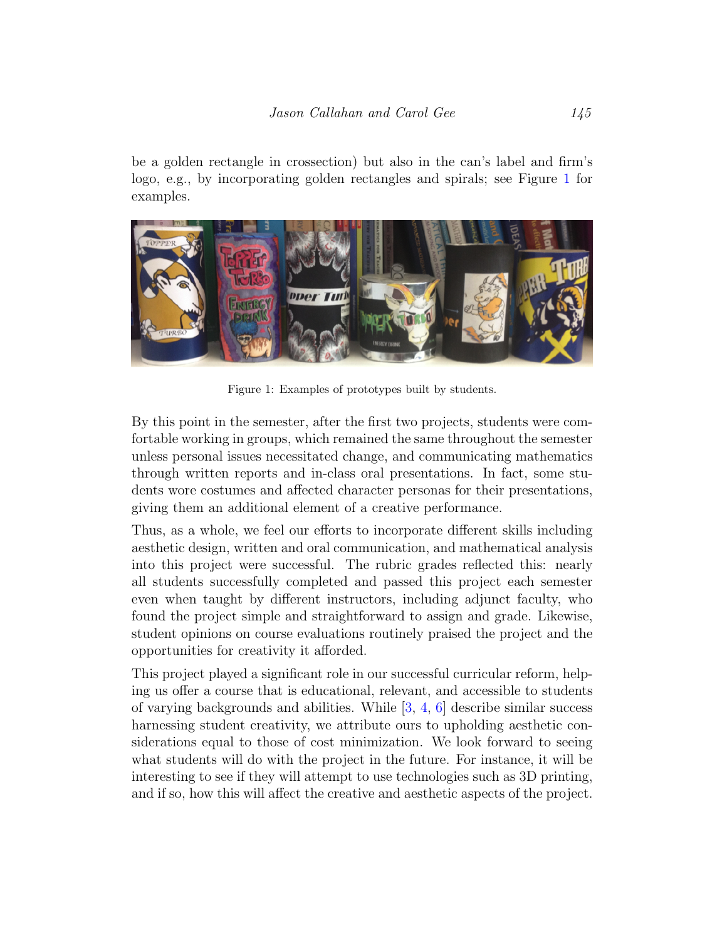be a golden rectangle in crossection) but also in the can's label and firm's logo, e.g., by incorporating golden rectangles and spirals; see Figure [1](#page-7-0) for examples.



Figure 1: Examples of prototypes built by students.

<span id="page-7-0"></span>By this point in the semester, after the first two projects, students were comfortable working in groups, which remained the same throughout the semester unless personal issues necessitated change, and communicating mathematics through written reports and in-class oral presentations. In fact, some students wore costumes and affected character personas for their presentations, giving them an additional element of a creative performance.

Thus, as a whole, we feel our efforts to incorporate different skills including aesthetic design, written and oral communication, and mathematical analysis into this project were successful. The rubric grades reflected this: nearly all students successfully completed and passed this project each semester even when taught by different instructors, including adjunct faculty, who found the project simple and straightforward to assign and grade. Likewise, student opinions on course evaluations routinely praised the project and the opportunities for creativity it afforded.

This project played a significant role in our successful curricular reform, helping us offer a course that is educational, relevant, and accessible to students of varying backgrounds and abilities. While  $[3, 4, 6]$  $[3, 4, 6]$  $[3, 4, 6]$  $[3, 4, 6]$  $[3, 4, 6]$  describe similar success harnessing student creativity, we attribute ours to upholding aesthetic considerations equal to those of cost minimization. We look forward to seeing what students will do with the project in the future. For instance, it will be interesting to see if they will attempt to use technologies such as 3D printing, and if so, how this will affect the creative and aesthetic aspects of the project.